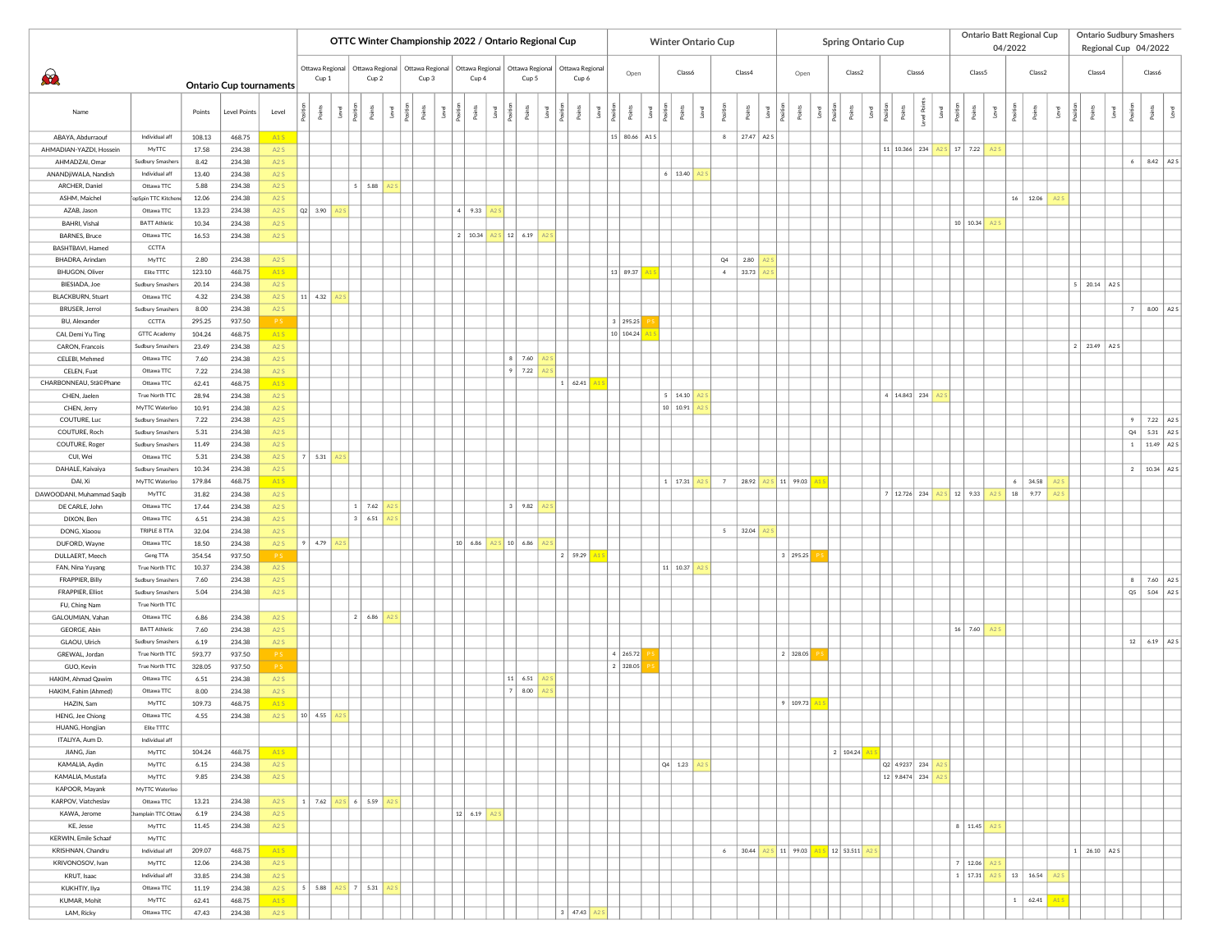|                                            |                                           |                |                                |                                |                    |                                              |               |      | OTTC Winter Championship 2022 / Ontario Regional Cup |                |                          |                          |                        |       |                 |       |                          |      |                          |                     |            |                           |            |                    |                    |                                      |  |                 | <b>Ontario Batt Regional Cup</b>                |       |                    | <b>Ontario Sudbury Smashers</b> |                |                                |        |  |        |  |
|--------------------------------------------|-------------------------------------------|----------------|--------------------------------|--------------------------------|--------------------|----------------------------------------------|---------------|------|------------------------------------------------------|----------------|--------------------------|--------------------------|------------------------|-------|-----------------|-------|--------------------------|------|--------------------------|---------------------|------------|---------------------------|------------|--------------------|--------------------|--------------------------------------|--|-----------------|-------------------------------------------------|-------|--------------------|---------------------------------|----------------|--------------------------------|--------|--|--------|--|
|                                            |                                           |                |                                |                                |                    |                                              |               |      |                                                      |                |                          |                          |                        |       |                 |       |                          |      | Winter Ontario Cup       |                     |            |                           |            |                    | Spring Ontario Cup |                                      |  |                 | 04/2022                                         |       |                    |                                 |                | Regional Cup 04/2022           |        |  |        |  |
| $\partial$                                 |                                           |                | <b>Ontario Cup tournaments</b> |                                |                    |                                              |               |      | Ottawa Regional<br>Cup 1                             |                | Ottawa Regional<br>Cup 2 | Ottawa Regional<br>Cup 3 |                        | Cup 4 | Ottawa Regional |       | Ottawa Regional<br>Cup 5 |      | Ottawa Regional<br>Cup 6 | Open                |            | Class6                    |            | Class4             |                    | Open                                 |  | Class2          | Class6                                          |       | Class <sub>5</sub> |                                 | Class2         |                                | Class4 |  | Class6 |  |
| Name                                       |                                           | Points         | <b>Level Points</b>            | Level                          |                    | ୍ଥ                                           |               |      |                                                      |                |                          |                          |                        |       |                 |       |                          | -eve |                          |                     |            |                           |            |                    |                    |                                      |  |                 |                                                 |       |                    |                                 |                |                                |        |  |        |  |
| ABAYA, Abdurraouf                          | Individual aff                            | 108.13         | 468.75                         | A <sub>1</sub> S               |                    |                                              |               |      |                                                      |                |                          |                          |                        |       |                 |       | 15 80.66 A1 S            |      |                          | 8                   | 27.47 A2 S |                           |            |                    |                    |                                      |  |                 |                                                 |       |                    |                                 |                |                                |        |  |        |  |
| AHMADIAN-YAZDI, Hosseir                    | MyTTC                                     | 17.58          | 234.38                         | A2S                            |                    |                                              |               |      |                                                      |                |                          |                          |                        |       |                 |       |                          |      |                          |                     |            |                           |            |                    |                    | 11 10.366 234                        |  | S 17 7.22 A2S   |                                                 |       |                    |                                 |                |                                |        |  |        |  |
| AHMADZAI, Omar<br>ANANDjiWALA, Nandish     | <b>Sudbury Smashers</b><br>Individual aff | 8.42<br>13.40  | 234.38<br>234.38               | A2S<br>A2S                     |                    |                                              |               |      |                                                      |                |                          |                          |                        |       |                 |       |                          |      | 6   13.40                |                     |            |                           |            |                    |                    |                                      |  |                 |                                                 |       |                    |                                 |                | 8.42 A2 S                      |        |  |        |  |
| ARCHER, Daniel                             | Ottawa TTC                                | 5.88           | 234.38                         | A2S                            |                    |                                              |               | 5.88 |                                                      |                |                          |                          |                        |       |                 |       |                          |      |                          |                     |            |                           |            |                    |                    |                                      |  |                 |                                                 |       |                    |                                 |                |                                |        |  |        |  |
| ASHM, Maichel                              | opSpin TTC Kitchen                        | 12.06          | 234.38                         | A2S                            |                    |                                              |               |      |                                                      |                |                          |                          |                        |       |                 |       |                          |      |                          |                     |            |                           |            |                    |                    |                                      |  |                 | 16 12.06                                        |       |                    |                                 |                |                                |        |  |        |  |
| AZAB, Jason                                | Ottawa TTC                                | 13.23          | 234.38                         | A2S                            | $ Q2 $ 3.90        |                                              |               |      |                                                      |                | 4   9.33                 |                          |                        |       |                 |       |                          |      |                          |                     |            |                           |            |                    |                    |                                      |  |                 |                                                 |       |                    |                                 |                |                                |        |  |        |  |
| BAHRI, Vishal                              | <b>BATT Athletic</b>                      | 10.34          | 234.38                         | A2S                            |                    |                                              |               |      |                                                      |                |                          |                          |                        |       |                 |       |                          |      |                          |                     |            |                           |            |                    |                    |                                      |  | 10 10.34        |                                                 |       |                    |                                 |                |                                |        |  |        |  |
| <b>BARNES, Bruce</b><br>BASHTBAVI, Hamed   | Ottawa TTC<br>CCTTA                       | 16.53          | 234.38                         | A <sub>2</sub> S               |                    |                                              |               |      |                                                      | $\overline{2}$ | 10.34                    |                          | 12   6.19              |       |                 |       |                          |      |                          |                     |            |                           |            |                    |                    |                                      |  |                 |                                                 |       |                    |                                 |                |                                |        |  |        |  |
| BHADRA, Arindam                            | MyTTC                                     | 2.80           | 234.38                         | A <sub>2</sub> S               |                    |                                              |               |      |                                                      |                |                          |                          |                        |       |                 |       |                          |      |                          | Q4                  | 2.80       |                           |            |                    |                    |                                      |  |                 |                                                 |       |                    |                                 |                |                                |        |  |        |  |
| BHUGON, Oliver                             | Elite TTTC                                | 123.10         | 468.75                         | A1S                            |                    |                                              |               |      |                                                      |                |                          |                          |                        |       |                 |       | 13 89.37                 |      |                          | $4 -$               | 33.73      |                           |            |                    |                    |                                      |  |                 |                                                 |       |                    |                                 |                |                                |        |  |        |  |
| BIESIADA, Joe                              | Sudbury Smashers                          | 20.14          | 234.38                         | A2S                            |                    |                                              |               |      |                                                      |                |                          |                          |                        |       |                 |       |                          |      |                          |                     |            |                           |            |                    |                    |                                      |  |                 |                                                 |       |                    | $5 \mid 20.14 \mid A2S \mid$    |                |                                |        |  |        |  |
| <b>BLACKBURN, Stuart</b><br>BRUSER, Jerrol | Ottawa TTC<br>Sudbury Smashers            | 4.32<br>8.00   | 234.38<br>234.38               | A2S<br>A <sub>2</sub> S        | $11$ 4.32          |                                              |               |      |                                                      |                |                          |                          |                        |       |                 |       |                          |      |                          |                     |            |                           |            |                    |                    |                                      |  |                 |                                                 |       |                    |                                 | $\overline{7}$ | 8.00 A2 S                      |        |  |        |  |
| BU, Alexander                              | CCTTA                                     | 295.25         | 937.50                         | <b>PS</b>                      |                    |                                              |               |      |                                                      |                |                          |                          |                        |       |                 |       | 3   295.25               |      |                          |                     |            |                           |            |                    |                    |                                      |  |                 |                                                 |       |                    |                                 |                |                                |        |  |        |  |
| CAI, Demi Yu Ting                          | <b>GTTC Academy</b>                       | 104.24         | 468.75                         | A <sub>1</sub> S               |                    |                                              |               |      |                                                      |                |                          |                          |                        |       |                 |       | 10 104.24                |      |                          |                     |            |                           |            |                    |                    |                                      |  |                 |                                                 |       |                    |                                 |                |                                |        |  |        |  |
| CARON, Francois                            | <b>Sudbury Smashers</b>                   | 23.49          | 234.38                         | A2S                            |                    |                                              |               |      |                                                      |                |                          |                          |                        |       |                 |       |                          |      |                          |                     |            |                           |            |                    |                    |                                      |  |                 |                                                 |       |                    | $2 \mid 23.49 \mid A2S \mid$    |                |                                |        |  |        |  |
| CELEBI, Mehmed                             | Ottawa TTC                                | 7.60           | 234.38                         | A2S                            |                    |                                              |               |      |                                                      |                |                          |                          | $8$ 7.60<br>$\circ$    |       |                 |       |                          |      |                          |                     |            |                           |            |                    |                    |                                      |  |                 |                                                 |       |                    |                                 |                |                                |        |  |        |  |
| CELEN, Fuat<br>CHARBONNEAU, Stä©Phane      | Ottawa TTC<br>Ottawa TTC                  | 7.22<br>62.41  | 234.38<br>468.75               | A <sub>2</sub> S<br><b>A1S</b> |                    |                                              |               |      |                                                      |                |                          |                          | 7.22                   |       |                 | 62.41 |                          |      |                          |                     |            |                           |            |                    |                    |                                      |  |                 |                                                 |       |                    |                                 |                |                                |        |  |        |  |
| CHEN, Jaelen                               | True North TTC                            | 28.94          | 234.38                         | A2S                            |                    |                                              |               |      |                                                      |                |                          |                          |                        |       |                 |       |                          |      | 5   14.10                |                     |            |                           |            |                    |                    | 4   14.843   234                     |  |                 |                                                 |       |                    |                                 |                |                                |        |  |        |  |
| CHEN, Jerry                                | MvTTC Waterloo                            | 10.91          | 234.38                         | A <sub>2</sub> S               |                    |                                              |               |      |                                                      |                |                          |                          |                        |       |                 |       |                          |      | 10 10.91                 |                     |            |                           |            |                    |                    |                                      |  |                 |                                                 |       |                    |                                 |                |                                |        |  |        |  |
| COUTURE, Luc                               | Sudbury Smashers                          | 7.22           | 234.38                         | A2S                            |                    |                                              |               |      |                                                      |                |                          |                          |                        |       |                 |       |                          |      |                          |                     |            |                           |            |                    |                    |                                      |  |                 |                                                 |       |                    |                                 | $\overline{9}$ | 7.22 A2S                       |        |  |        |  |
| COUTURE, Roch<br>COUTURE, Roger            | Sudbury Smashers<br>Sudbury Smashers      | 5.31<br>11.49  | 234.38<br>234.38               | A2S<br>A <sub>2</sub> S        |                    |                                              |               |      |                                                      |                |                          |                          |                        |       |                 |       |                          |      |                          |                     |            |                           |            |                    |                    |                                      |  |                 |                                                 |       |                    |                                 |                | Q4 5.31 A2S<br>1   11.49   A25 |        |  |        |  |
| CUI, Wei                                   | Ottawa TTC                                | 5.31           | 234.38                         | A2S                            | 7                  | 5.31                                         |               |      |                                                      |                |                          |                          |                        |       |                 |       |                          |      |                          |                     |            |                           |            |                    |                    |                                      |  |                 |                                                 |       |                    |                                 |                |                                |        |  |        |  |
| DAHALE, Kaivaiya                           | Sudbury Smashers                          | 10.34          | 234.38                         | A <sub>2</sub> S               |                    |                                              |               |      |                                                      |                |                          |                          |                        |       |                 |       |                          |      |                          |                     |            |                           |            |                    |                    |                                      |  |                 |                                                 |       |                    |                                 |                | 2   10.34   A2S                |        |  |        |  |
| DAI, Xi                                    | MyTTC Waterloo                            | 179.84         | 468.75                         | A1S                            |                    |                                              |               |      |                                                      |                |                          |                          |                        |       |                 |       |                          |      | $1 \mid 17.31$           | 7                   | 28.92      |                           | 5 11 99.03 |                    |                    |                                      |  |                 | 6 <sup>1</sup>                                  | 34.58 |                    |                                 |                |                                |        |  |        |  |
| DAWOODANI, Muhammad Saqib                  | MyTTC                                     | 31.82          | 234.38                         | A2S                            |                    |                                              |               |      |                                                      |                |                          |                          |                        |       |                 |       |                          |      |                          |                     |            |                           |            |                    |                    | $12.726$ 234                         |  | 3   12   9.33   | 18                                              | 9.77  |                    |                                 |                |                                |        |  |        |  |
| DE CARLE, John<br>DIXON, Ben               | Ottawa TTC<br>Ottawa TTC                  | 17.44<br>6.51  | 234.38<br>234.38               | A2S<br>A <sub>2</sub> S        |                    |                                              | $3 \mid 6.51$ | 7.62 |                                                      |                |                          |                          | 3   9.82               |       |                 |       |                          |      |                          |                     |            |                           |            |                    |                    |                                      |  |                 |                                                 |       |                    |                                 |                |                                |        |  |        |  |
| DONG, Xiaoou                               | TRIPLE 8 TTA                              | 32.04          | 234.38                         | A <sub>2</sub> S               |                    |                                              |               |      |                                                      |                |                          |                          |                        |       |                 |       |                          |      |                          | $5 \quad$           | 32.04      |                           |            |                    |                    |                                      |  |                 |                                                 |       |                    |                                 |                |                                |        |  |        |  |
| DUFORD, Wayne                              | Ottawa TTC                                | 18.50          | 234.38                         | A2S                            | 9   4.79           |                                              |               |      |                                                      |                | $ 10 $ 6.86              |                          | $s$ 10 6.86            |       |                 |       |                          |      |                          |                     |            |                           |            |                    |                    |                                      |  |                 |                                                 |       |                    |                                 |                |                                |        |  |        |  |
| DULLAERT, Meech                            | Geng TTA                                  | 354.54         | 937.50                         | <b>PS</b>                      |                    |                                              |               |      |                                                      |                |                          |                          |                        |       | 2   59.29       |       |                          |      |                          |                     |            |                           | 3   295.25 |                    |                    |                                      |  |                 |                                                 |       |                    |                                 |                |                                |        |  |        |  |
| FAN, Nina Yuyang                           | True North TTC<br>Sudbury Smashers        | 10.37          | 234.38<br>234.38               | A2S<br>A2S                     |                    |                                              |               |      |                                                      |                |                          |                          |                        |       |                 |       |                          |      | 11 10.37                 |                     |            |                           |            |                    |                    |                                      |  |                 |                                                 |       |                    |                                 |                | 8 7.60 A2S                     |        |  |        |  |
| FRAPPIER, Billy<br><b>FRAPPIER, Elliot</b> | Sudbury Smashers                          | 7.60<br>5.04   | 234.38                         | A2S                            |                    |                                              |               |      |                                                      |                |                          |                          |                        |       |                 |       |                          |      |                          |                     |            |                           |            |                    |                    |                                      |  |                 |                                                 |       |                    |                                 |                | Q5 5.04 A2 S                   |        |  |        |  |
| FU, Ching Nam                              | True North TTC                            |                |                                |                                |                    |                                              |               |      |                                                      |                |                          |                          |                        |       |                 |       |                          |      |                          |                     |            |                           |            |                    |                    |                                      |  |                 |                                                 |       |                    |                                 |                |                                |        |  |        |  |
| GALOUMIAN, Vahan                           | Ottawa TTC                                | 6.86           | 234.38                         | A <sub>2</sub> S               |                    |                                              | $2 \mid 6.86$ |      |                                                      |                |                          |                          |                        |       |                 |       |                          |      |                          |                     |            |                           |            |                    |                    |                                      |  |                 |                                                 |       |                    |                                 |                |                                |        |  |        |  |
| GEORGE, Abin                               | <b>BATT Athletic</b>                      | 7.60<br>6.19   | 234.38<br>234.38               | A2S<br>A2S                     |                    |                                              |               |      |                                                      |                |                          |                          |                        |       |                 |       |                          |      |                          |                     |            |                           |            |                    |                    |                                      |  | $16$ 7.60       |                                                 |       |                    |                                 |                | 12   6.19   A2S                |        |  |        |  |
| GLAOU, Ulrich<br>GREWAL, Jordan            | Sudbury Smashers<br>True North TTC        | 593.77         | 937.50                         |                                |                    |                                              |               |      |                                                      |                |                          |                          |                        |       |                 |       | 4   265.72               |      |                          |                     |            |                           | 2   328.05 |                    |                    |                                      |  |                 |                                                 |       |                    |                                 |                |                                |        |  |        |  |
| GUO, Kevin                                 | True North TTC                            | 328.05         | 937.50                         | <b>PS</b>                      |                    |                                              |               |      |                                                      |                |                          |                          |                        |       |                 |       | 2 328.05                 |      |                          |                     |            |                           |            |                    |                    |                                      |  |                 |                                                 |       |                    |                                 |                |                                |        |  |        |  |
| HAKIM, Ahmad Qawim                         | Ottawa TTC                                | 6.51           | 234.38                         | A2S                            |                    |                                              |               |      |                                                      |                |                          |                          | 11 6.51                |       |                 |       |                          |      |                          |                     |            |                           |            |                    |                    |                                      |  |                 |                                                 |       |                    |                                 |                |                                |        |  |        |  |
| HAKIM, Fahim (Ahmed)<br>HAZIN, Sam         | Ottawa TTC<br>MvTTC                       | 8.00           | 234.38<br>468.75               | A <sub>2</sub> S<br>A1S        |                    |                                              |               |      |                                                      |                |                          |                          | 8.00<br>$\overline{z}$ |       |                 |       |                          |      |                          |                     |            |                           |            |                    |                    |                                      |  |                 |                                                 |       |                    |                                 |                |                                |        |  |        |  |
| HENG, Jee Chiong                           | Ottawa TTC                                | 109.73<br>4.55 | 234.38                         | A2S                            | $ 10 $ 4.55        |                                              |               |      |                                                      |                |                          |                          |                        |       |                 |       |                          |      |                          |                     |            |                           | 9   109.73 |                    |                    |                                      |  |                 |                                                 |       |                    |                                 |                |                                |        |  |        |  |
| HUANG, Hongjian                            | Elite TTTC                                |                |                                |                                |                    |                                              |               |      |                                                      |                |                          |                          |                        |       |                 |       |                          |      |                          |                     |            |                           |            |                    |                    |                                      |  |                 |                                                 |       |                    |                                 |                |                                |        |  |        |  |
| ITALIYA, Aum D.                            | Individual aff                            |                |                                |                                |                    |                                              |               |      |                                                      |                |                          |                          |                        |       |                 |       |                          |      |                          |                     |            |                           |            |                    |                    |                                      |  |                 |                                                 |       |                    |                                 |                |                                |        |  |        |  |
| JIANG, Jian                                | MyTTC                                     | 104.24         | 468.75                         | A1S                            |                    |                                              |               |      |                                                      |                |                          |                          |                        |       |                 |       |                          |      |                          |                     |            |                           |            | 2   104.24         |                    |                                      |  |                 |                                                 |       |                    |                                 |                |                                |        |  |        |  |
| KAMALIA, Aydin<br>KAMALIA, Mustafa         | MyTTC<br>MyTTC                            | 6.15<br>9.85   | 234.38<br>234.38               | A2S<br>A2S                     |                    |                                              |               |      |                                                      |                |                          |                          |                        |       |                 |       |                          |      | $ Q4 $ 1.23              |                     |            |                           |            |                    |                    | $ $ Q2 4.9237 234<br>$12$ 9.8474 234 |  |                 |                                                 |       |                    |                                 |                |                                |        |  |        |  |
| KAPOOR, Mayank                             | MyTTC Waterloo                            |                |                                |                                |                    |                                              |               |      |                                                      |                |                          |                          |                        |       |                 |       |                          |      |                          |                     |            |                           |            |                    |                    |                                      |  |                 |                                                 |       |                    |                                 |                |                                |        |  |        |  |
| KARPOV, Viatcheslav                        | Ottawa TTC                                | 13.21          | 234.38                         | A2S                            |                    | $1 \mid 7.62 \mid A2S \mid 6 \mid 5.59 \mid$ |               |      |                                                      |                |                          |                          |                        |       |                 |       |                          |      |                          |                     |            |                           |            |                    |                    |                                      |  |                 |                                                 |       |                    |                                 |                |                                |        |  |        |  |
| KAWA, Jerome                               | hamplain TTC Ottaw                        | 6.19           | 234.38                         | A2S                            |                    |                                              |               |      |                                                      |                | 12   6.19                |                          |                        |       |                 |       |                          |      |                          |                     |            |                           |            |                    |                    |                                      |  |                 |                                                 |       |                    |                                 |                |                                |        |  |        |  |
| KE, Jesse<br>KERWIN, Emile Schaaf          | MyTTC<br>MyTTC                            | 11.45          | 234.38                         | A2S                            |                    |                                              |               |      |                                                      |                |                          |                          |                        |       |                 |       |                          |      |                          |                     |            |                           |            |                    |                    |                                      |  | 8   11.45   A   |                                                 |       |                    |                                 |                |                                |        |  |        |  |
| KRISHNAN, Chandru                          | Individual aff                            | 209.07         | 468.75                         | A1S                            |                    |                                              |               |      |                                                      |                |                          |                          |                        |       |                 |       |                          |      |                          | $6 \mid 30.44 \mid$ |            | A <sub>2</sub> S 11 99.03 |            | A1 S   12   53.511 |                    |                                      |  |                 |                                                 |       |                    | $1 \mid 26.10 \mid A2S \mid$    |                |                                |        |  |        |  |
| KRIVONOSOV, Ivan                           | MyTTC                                     | 12.06          | 234.38                         | A2S                            |                    |                                              |               |      |                                                      |                |                          |                          |                        |       |                 |       |                          |      |                          |                     |            |                           |            |                    |                    |                                      |  | 7   12.06   A23 |                                                 |       |                    |                                 |                |                                |        |  |        |  |
| KRUT, Isaac                                | Individual aff                            | 33.85          | 234.38                         | A2S                            |                    |                                              |               |      |                                                      |                |                          |                          |                        |       |                 |       |                          |      |                          |                     |            |                           |            |                    |                    |                                      |  |                 | $1 \mid 17.31 \mid A2S \mid 13 \mid 16.54 \mid$ |       | A2S                |                                 |                |                                |        |  |        |  |
| KUKHTIY, Ilya                              | Ottawa TTC                                | 11.19          | 234.38                         | A2S                            | $5 \mid 5.88 \mid$ |                                              | A2 S 7 5.31   |      |                                                      |                |                          |                          |                        |       |                 |       |                          |      |                          |                     |            |                           |            |                    |                    |                                      |  |                 |                                                 |       |                    |                                 |                |                                |        |  |        |  |
| KUMAR, Mohit<br>LAM, Ricky                 | MyTTC<br>Ottawa TTC                       | 62.41<br>47.43 | 468.75<br>234.38               | A1S<br>A2S                     |                    |                                              |               |      |                                                      |                |                          |                          |                        |       | 3   47.43       |       |                          |      |                          |                     |            |                           |            |                    |                    |                                      |  |                 | 1   62.41                                       |       | A1S                |                                 |                |                                |        |  |        |  |
|                                            |                                           |                |                                |                                |                    |                                              |               |      |                                                      |                |                          |                          |                        |       |                 |       |                          |      |                          |                     |            |                           |            |                    |                    |                                      |  |                 |                                                 |       |                    |                                 |                |                                |        |  |        |  |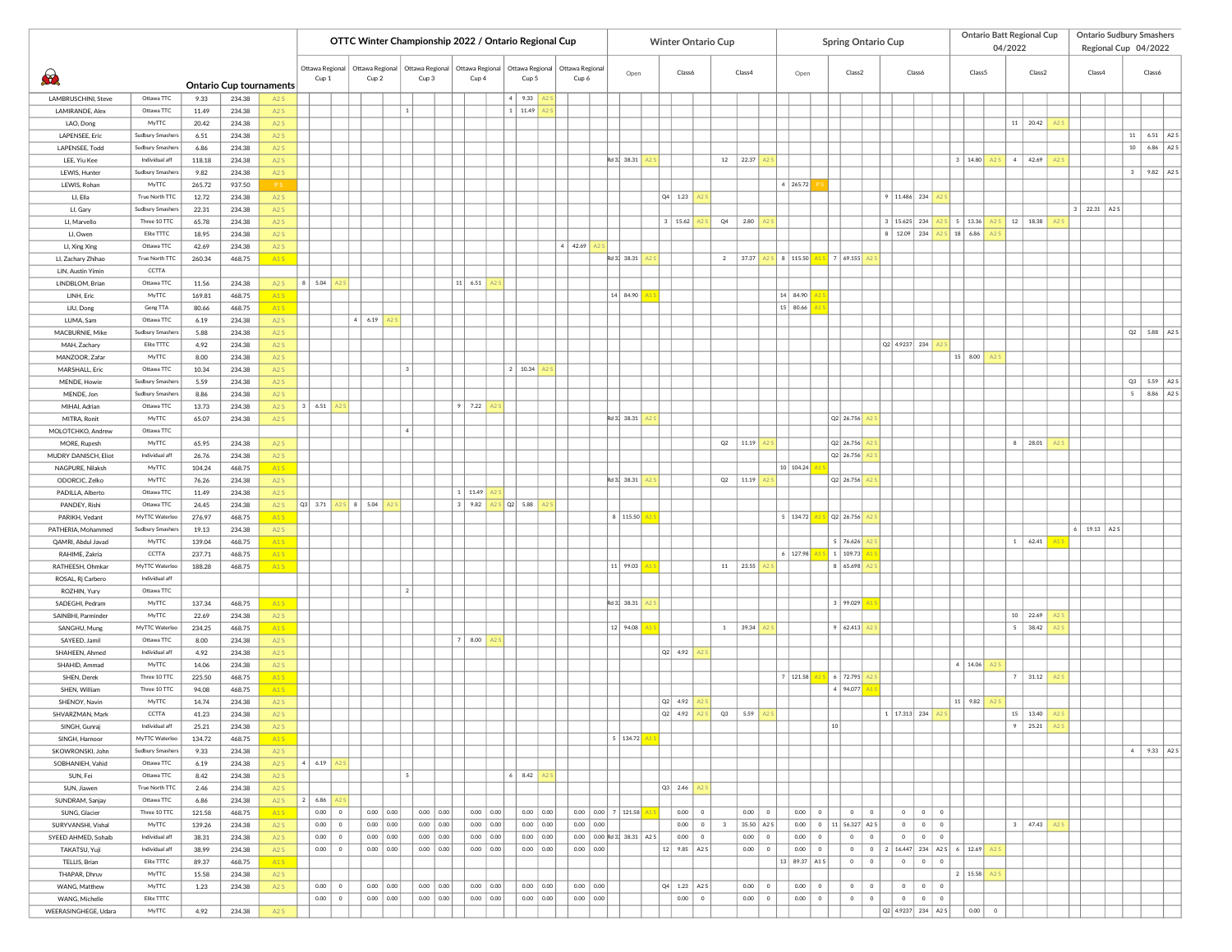|                                          |                                |                 |                                          |                  |                         |                        |             |                                         |                | OTTC Winter Championship 2022 / Ontario Regional Cup |               |                       |                          |                              |                 |                            |                  |              |                                                                                                | <b>Winter Ontario Cup</b> |             |             |            |               |          |    | <b>Spring Ontario Cup</b>       |           |                        |         |                |                                            |         |         | <b>Ontario Batt Regional Cup</b> |                |                | <b>Ontario Sudbury Smashers</b> |                  |                   |                                      |
|------------------------------------------|--------------------------------|-----------------|------------------------------------------|------------------|-------------------------|------------------------|-------------|-----------------------------------------|----------------|------------------------------------------------------|---------------|-----------------------|--------------------------|------------------------------|-----------------|----------------------------|------------------|--------------|------------------------------------------------------------------------------------------------|---------------------------|-------------|-------------|------------|---------------|----------|----|---------------------------------|-----------|------------------------|---------|----------------|--------------------------------------------|---------|---------|----------------------------------|----------------|----------------|---------------------------------|------------------|-------------------|--------------------------------------|
|                                          |                                |                 |                                          |                  |                         |                        |             |                                         |                |                                                      |               |                       |                          |                              |                 |                            |                  |              |                                                                                                |                           |             |             |            |               |          |    |                                 |           |                        |         |                |                                            |         | 04/2022 |                                  |                |                | Regional Cup 04/2022            |                  |                   |                                      |
|                                          |                                |                 |                                          |                  |                         | Ottawa Regional        |             | Ottawa Regional                         |                | Ottawa Regional                                      |               | Ottawa Regional       |                          | Ottawa Regional              | Ottawa Regional |                            |                  |              |                                                                                                |                           |             |             |            |               |          |    |                                 |           |                        |         |                |                                            |         |         |                                  |                |                |                                 |                  |                   |                                      |
| $\bigcirc$                               |                                |                 |                                          |                  |                         | Cup 1                  |             | Cup 2                                   |                | Cup 3                                                |               | Cup 4                 |                          | Cup 5                        | Cup 6           |                            | Open             |              | Class6                                                                                         |                           |             | Class4      |            |               | Open     |    | Class2                          |           |                        | Class6  |                | Class 5                                    |         |         | Class2                           |                |                | Class4                          |                  | Class6            |                                      |
|                                          |                                |                 | <b>Ontario Cup tournaments</b><br>234.38 |                  |                         |                        |             |                                         |                |                                                      |               |                       | $\sim$                   |                              |                 |                            |                  |              |                                                                                                |                           |             |             |            |               |          |    |                                 |           |                        |         |                |                                            |         |         |                                  |                |                |                                 |                  |                   |                                      |
| LAMBRUSCHINI, Steve<br>LAMIRANDE, Alex   | Ottawa TTC<br>Ottawa TTC       | 9.33<br>11.49   | 234.38                                   | A2S<br>A2S       |                         |                        |             |                                         | $\mathbf{1}$   |                                                      |               |                       |                          | 9.33<br>11.49                |                 |                            |                  |              |                                                                                                |                           |             |             |            |               |          |    |                                 |           |                        |         |                |                                            |         |         |                                  |                |                |                                 |                  |                   |                                      |
| LAO, Dong                                | MyTTC                          | 20.42           | 234.38                                   | A2S              |                         |                        |             |                                         |                |                                                      |               |                       |                          |                              |                 |                            |                  |              |                                                                                                |                           |             |             |            |               |          |    |                                 |           |                        |         |                |                                            |         |         | $11 \mid 20.42$                  | A2             |                |                                 |                  |                   |                                      |
| <b>LAPENSEE</b> , Eric                   | Sudbury Smashers               | 6.51            | 234.38                                   | A2S              |                         |                        |             |                                         |                |                                                      |               |                       |                          |                              |                 |                            |                  |              |                                                                                                |                           |             |             |            |               |          |    |                                 |           |                        |         |                |                                            |         |         |                                  |                |                |                                 | 11               | 6.51 $\vert$ A2 S |                                      |
| LAPENSEE, Todd                           | Sudbury Smashers               | 6.86            | 234.38                                   | A2S              |                         |                        |             |                                         |                |                                                      |               |                       |                          |                              |                 |                            |                  |              |                                                                                                |                           |             |             |            |               |          |    |                                 |           |                        |         |                |                                            |         |         |                                  |                |                |                                 | 10 <sub>10</sub> | 6.86              | A <sub>2</sub> s                     |
| LEE, Yiu Kee                             | Individual aff                 | 118.18          | 234.38                                   | A2S              |                         |                        |             |                                         |                |                                                      |               |                       |                          |                              |                 |                            | Rd 3: 38.31      |              |                                                                                                |                           | $12\,$      | 22.37       |            |               |          |    |                                 |           |                        |         |                | 3   14.80                                  | A2:     | 4       | 42.69                            | A <sub>2</sub> |                |                                 |                  |                   |                                      |
| LEWIS, Hunter                            | Sudbury Smashers               | 9.82            | 234.38                                   | A2S              |                         |                        |             |                                         |                |                                                      |               |                       |                          |                              |                 |                            |                  |              |                                                                                                |                           |             |             |            |               |          |    |                                 |           |                        |         |                |                                            |         |         |                                  |                |                |                                 | 3                | $9.82$ A2 S       |                                      |
| LEWIS, Rohan                             | MyTTC                          | 265.72          | 937.50                                   | <b>PS</b>        |                         |                        |             |                                         |                |                                                      |               |                       |                          |                              |                 |                            |                  |              |                                                                                                |                           |             |             |            | 4   265.72    |          |    |                                 |           |                        |         |                |                                            |         |         |                                  |                |                |                                 |                  |                   |                                      |
| LI, Ella                                 | True North TTC                 | 12.72           | 234.38                                   | A2S              |                         |                        |             |                                         |                |                                                      |               |                       |                          |                              |                 |                            |                  |              | $Q4$ 1.23                                                                                      |                           |             |             |            |               |          |    |                                 |           | 9   11.486   234       |         |                |                                            |         |         |                                  |                |                |                                 |                  |                   |                                      |
| LI, Gary                                 | <b>Sudbury Smashers</b>        | 22.31           | 234.38                                   | A2S              |                         |                        |             |                                         |                |                                                      |               |                       |                          |                              |                 |                            |                  |              |                                                                                                |                           |             |             |            |               |          |    |                                 |           |                        |         |                |                                            |         |         |                                  |                | 3 <sup>1</sup> | 22.31 A2 S                      |                  |                   |                                      |
| LI, Marvello                             | Three 10 TTC                   | 65.78           | 234.38                                   | A2S              |                         |                        |             |                                         |                |                                                      |               |                       |                          |                              |                 |                            |                  | $\mathbf{3}$ | 15.62                                                                                          |                           | Q4          | 2.80        |            |               |          |    |                                 |           | 3   15.625             | 234     |                | 5   13.36                                  | A2      |         | $12$ 18.38                       | A2             |                |                                 |                  |                   |                                      |
| LI, Owen                                 | Elite TTTC                     | 18.95           | 234.38                                   | A2S              |                         |                        |             |                                         |                |                                                      |               |                       |                          |                              | 4   42.69       |                            |                  |              |                                                                                                |                           |             |             |            |               |          |    |                                 |           | 8   12.09              | 234     |                | 18 6.86                                    | A2      |         |                                  |                |                |                                 |                  |                   |                                      |
| LI, Xing Xing<br>LI, Zachary Zhihao      | Ottawa TTC<br>True North TTC   | 42.69<br>260.34 | 234.38<br>468.75                         | A2S<br>A1S       |                         |                        |             |                                         |                |                                                      |               |                       |                          |                              |                 |                            | Rd 3: 38.31      |              |                                                                                                |                           |             | 2 37.37     |            | 8   115.50    |          |    | S 7 69.155                      |           |                        |         |                |                                            |         |         |                                  |                |                |                                 |                  |                   |                                      |
| LIN, Austin Yimin                        | CCTTA                          |                 |                                          |                  |                         |                        |             |                                         |                |                                                      |               |                       |                          |                              |                 |                            |                  |              |                                                                                                |                           |             |             |            |               |          |    |                                 |           |                        |         |                |                                            |         |         |                                  |                |                |                                 |                  |                   |                                      |
| LINDBLOM, Brian                          | Ottawa TTC                     | 11.56           | 234.38                                   | A2S              | 8                       | 5.04                   |             |                                         |                |                                                      | 11   6.51     |                       |                          |                              |                 |                            |                  |              |                                                                                                |                           |             |             |            |               |          |    |                                 |           |                        |         |                |                                            |         |         |                                  |                |                |                                 |                  |                   |                                      |
| LINH, Eric                               | MyTTC                          | 169.81          | 468.75                                   | A <sub>1</sub> S |                         |                        |             |                                         |                |                                                      |               |                       |                          |                              |                 |                            | $14 \vert 84.90$ |              |                                                                                                |                           |             |             |            | 14   84.90    |          |    |                                 |           |                        |         |                |                                            |         |         |                                  |                |                |                                 |                  |                   |                                      |
| LIU, Dong                                | Geng TTA                       | 80.66           | 468.75                                   | A <sub>1</sub> S |                         |                        |             |                                         |                |                                                      |               |                       |                          |                              |                 |                            |                  |              |                                                                                                |                           |             |             |            | 15 80.66      |          |    |                                 |           |                        |         |                |                                            |         |         |                                  |                |                |                                 |                  |                   |                                      |
| LUMA, Sam                                | Ottawa TTC                     | 6.19            | 234.38                                   | A2S              |                         |                        | $\ddot{a}$  | 6.19                                    |                |                                                      |               |                       |                          |                              |                 |                            |                  |              |                                                                                                |                           |             |             |            |               |          |    |                                 |           |                        |         |                |                                            |         |         |                                  |                |                |                                 |                  |                   |                                      |
| MACBURNIE, Mike                          | <b>Sudbury Smasher</b>         | 5.88            | 234.38                                   | A2S              |                         |                        |             |                                         |                |                                                      |               |                       |                          |                              |                 |                            |                  |              |                                                                                                |                           |             |             |            |               |          |    |                                 |           |                        |         |                |                                            |         |         |                                  |                |                |                                 | Q2               | 5.88 A2 S         |                                      |
| MAH, Zachary                             | Elite TTTC                     | 4.92            | 234.38                                   | A2S              |                         |                        |             |                                         |                |                                                      |               |                       |                          |                              |                 |                            |                  |              |                                                                                                |                           |             |             |            |               |          |    |                                 |           | Q2 4.9237 234          |         |                |                                            |         |         |                                  |                |                |                                 |                  |                   |                                      |
| MANZOOR, Zafar                           | MyTTC                          | 8.00            | 234.38                                   | A2S              |                         |                        |             |                                         |                |                                                      |               |                       |                          |                              |                 |                            |                  |              |                                                                                                |                           |             |             |            |               |          |    |                                 |           |                        |         |                | 15   8.00                                  | A2S     |         |                                  |                |                |                                 |                  |                   |                                      |
| MARSHALL, Eric                           | Ottawa TTC                     | 10.34           | 234.38                                   | A2S              |                         |                        |             |                                         | 3              |                                                      |               |                       | $\overline{\phantom{a}}$ | 10.34                        |                 |                            |                  |              |                                                                                                |                           |             |             |            |               |          |    |                                 |           |                        |         |                |                                            |         |         |                                  |                |                |                                 |                  |                   |                                      |
| <b>MENDE, Howie</b><br>MENDE, Jon        | Sudbury Smashers               | 5.59<br>8.86    | 234.38<br>234.38                         | A2S<br>A2S       |                         |                        |             |                                         |                |                                                      |               |                       |                          |                              |                 |                            |                  |              |                                                                                                |                           |             |             |            |               |          |    |                                 |           |                        |         |                |                                            |         |         |                                  |                |                |                                 | Q3<br>$5 -$      | 5.59<br>8.86      | A <sub>2</sub> S<br>A <sub>2</sub> s |
| MIHAI, Adrian                            | Sudbury Smashers<br>Ottawa TTC | 13.73           | 234.38                                   | A2S              | $\overline{\mathbf{3}}$ | 6.51                   |             |                                         |                |                                                      | $\mathcal{Q}$ | 7.22                  |                          |                              |                 |                            |                  |              |                                                                                                |                           |             |             |            |               |          |    |                                 |           |                        |         |                |                                            |         |         |                                  |                |                |                                 |                  |                   |                                      |
| MITRA, Ronit                             | MyTTC                          | 65.07           | 234.38                                   | A2S              |                         |                        |             |                                         |                |                                                      |               |                       |                          |                              |                 |                            | Rd 3: 38.31      |              |                                                                                                |                           |             |             |            |               |          |    | $Q2$ 26.756                     |           |                        |         |                |                                            |         |         |                                  |                |                |                                 |                  |                   |                                      |
| MOLOTCHKO, Andrew                        | Ottawa TTC                     |                 |                                          |                  |                         |                        |             |                                         | $\overline{4}$ |                                                      |               |                       |                          |                              |                 |                            |                  |              |                                                                                                |                           |             |             |            |               |          |    |                                 |           |                        |         |                |                                            |         |         |                                  |                |                |                                 |                  |                   |                                      |
| MORE, Rupesh                             | MyTTC                          | 65.95           | 234.38                                   | A2S              |                         |                        |             |                                         |                |                                                      |               |                       |                          |                              |                 |                            |                  |              |                                                                                                |                           | Q2          | 11.19       |            |               |          |    | Q2 26.756                       |           |                        |         |                |                                            |         | 8       | 28.01                            | A2S            |                |                                 |                  |                   |                                      |
| MUDRY DANISCH, Eliot                     | Individual aff                 | 26.76           | 234.38                                   | A2S              |                         |                        |             |                                         |                |                                                      |               |                       |                          |                              |                 |                            |                  |              |                                                                                                |                           |             |             |            |               |          |    | $Q2$ 26.756                     |           |                        |         |                |                                            |         |         |                                  |                |                |                                 |                  |                   |                                      |
| NAGPURE, Nilaksh                         | MyTTC                          | 104.24          | 468.75                                   | A1S              |                         |                        |             |                                         |                |                                                      |               |                       |                          |                              |                 |                            |                  |              |                                                                                                |                           |             |             |            | 10 104.24     |          |    |                                 |           |                        |         |                |                                            |         |         |                                  |                |                |                                 |                  |                   |                                      |
| ODORCIC, Zelko                           | MyTTC                          | 76.26           | 234.38                                   | A2S              |                         |                        |             |                                         |                |                                                      |               |                       |                          |                              |                 |                            | Rd 3: 38.31      |              |                                                                                                |                           |             | Q2 11.19    |            |               |          |    | $Q2$ 26.756                     |           |                        |         |                |                                            |         |         |                                  |                |                |                                 |                  |                   |                                      |
| PADILLA, Alberto                         | Ottawa TTC                     | 11.49           | 234.38                                   | A2S              |                         |                        |             |                                         |                |                                                      |               | 11.49                 |                          |                              |                 |                            |                  |              |                                                                                                |                           |             |             |            |               |          |    |                                 |           |                        |         |                |                                            |         |         |                                  |                |                |                                 |                  |                   |                                      |
| PANDEY, Rishi                            | Ottawa TTC                     | 24.45           | 234.38                                   | A2S              | $Q3$ 3.71               |                        | $2S$ 8 5.04 |                                         |                |                                                      | $\mathbf{3}$  | 9.82                  | $ Q2 $ 5.88              |                              |                 |                            |                  |              |                                                                                                |                           |             |             |            |               |          |    |                                 |           |                        |         |                |                                            |         |         |                                  |                |                |                                 |                  |                   |                                      |
| PARIKH, Vedant                           | MyTTC Waterloo                 | 276.97          | 468.75                                   | A1S              |                         |                        |             |                                         |                |                                                      |               |                       |                          |                              |                 |                            | 8 115.50         |              |                                                                                                |                           |             |             |            |               |          |    | 5   134.72   A1 S   Q2   26.756 |           |                        |         |                |                                            |         |         |                                  |                |                |                                 |                  |                   |                                      |
| PATHERIA, Mohammed<br>QAMRI, Abdul Javad | Sudbury Smashers<br>MyTTC      | 19.13<br>139.04 | 234.38<br>468.75                         | A2S<br>A1S       |                         |                        |             |                                         |                |                                                      |               |                       |                          |                              |                 |                            |                  |              |                                                                                                |                           |             |             |            |               |          |    | 5   76.626                      |           |                        |         |                |                                            |         |         | 1   62.41                        |                |                | $6$ 19.13 A2S                   |                  |                   |                                      |
| RAHIME, Zakria                           | CCTTA                          | 237.71          | 468.75                                   | A1S              |                         |                        |             |                                         |                |                                                      |               |                       |                          |                              |                 |                            |                  |              |                                                                                                |                           |             |             |            |               |          |    | 6   127.98   A1 S   1   109.73  |           |                        |         |                |                                            |         |         |                                  |                |                |                                 |                  |                   |                                      |
| RATHEESH, Ohmkar                         | MyTTC Waterloo                 | 188.28          | 468.75                                   | A <sub>1</sub> S |                         |                        |             |                                         |                |                                                      |               |                       |                          |                              |                 |                            | 11 99.03         |              |                                                                                                |                           |             | 11 23.55    |            |               |          |    | 8 65.698                        |           |                        |         |                |                                            |         |         |                                  |                |                |                                 |                  |                   |                                      |
| ROSAL, Rj Carbero                        | Individual aff                 |                 |                                          |                  |                         |                        |             |                                         |                |                                                      |               |                       |                          |                              |                 |                            |                  |              |                                                                                                |                           |             |             |            |               |          |    |                                 |           |                        |         |                |                                            |         |         |                                  |                |                |                                 |                  |                   |                                      |
| ROZHIN, Yury                             | Ottawa TTC                     |                 |                                          |                  |                         |                        |             |                                         | 2              |                                                      |               |                       |                          |                              |                 |                            |                  |              |                                                                                                |                           |             |             |            |               |          |    |                                 |           |                        |         |                |                                            |         |         |                                  |                |                |                                 |                  |                   |                                      |
| SADEGHI, Pedram                          | MyTTC                          | 137.34          | 468.75                                   | A1S              |                         |                        |             |                                         |                |                                                      |               |                       |                          |                              |                 |                            | Rd 3: 38.31      |              |                                                                                                |                           |             |             |            |               |          |    | 3   99.029                      |           |                        |         |                |                                            |         |         |                                  |                |                |                                 |                  |                   |                                      |
| SAINBHI, Parminder                       | MyTTC                          | 22.69           | 234.38                                   | A2S              |                         |                        |             |                                         |                |                                                      |               |                       |                          |                              |                 |                            |                  |              |                                                                                                |                           |             |             |            |               |          |    |                                 |           |                        |         |                |                                            |         | 10      | 22.69                            | A2S            |                |                                 |                  |                   |                                      |
| SANGHU, Mung                             | MyTTC Waterloo                 | 234.25          | 468.75                                   | A1S              |                         |                        |             |                                         |                |                                                      |               |                       |                          |                              |                 |                            | 12 94.08         |              |                                                                                                |                           |             | $1 \t39.34$ |            |               |          |    | 9   62.413                      |           |                        |         |                |                                            |         |         | $5 \mid 38.42 \mid$              | A2S            |                |                                 |                  |                   |                                      |
| SAYEED, Jamil                            | Ottawa TTC                     | 8.00            | 234.38                                   | A2S              |                         |                        |             |                                         |                |                                                      |               | 8.00                  |                          |                              |                 |                            |                  |              |                                                                                                |                           |             |             |            |               |          |    |                                 |           |                        |         |                |                                            |         |         |                                  |                |                |                                 |                  |                   |                                      |
| SHAHEEN, Ahmed                           | Individual aff                 | 4.92            | 234.38                                   | A2S              |                         |                        |             |                                         |                |                                                      |               |                       |                          |                              |                 |                            |                  |              | Q2 4.92 A2                                                                                     |                           |             |             |            |               |          |    |                                 |           |                        |         |                |                                            |         |         |                                  |                |                |                                 |                  |                   |                                      |
| SHAHID, Ammad<br>SHEN, Derek             | MyTTC<br>Three 10 TTC          | 14.06<br>225.50 | 234.38<br>468.75                         | A2S<br>A1S       |                         |                        |             |                                         |                |                                                      |               |                       |                          |                              |                 |                            |                  |              |                                                                                                |                           |             |             |            | 7   121.58    |          |    | 6 72.795                        |           |                        |         |                | 4   14.06                                  | A2      |         | 7   31.12                        | A2             |                |                                 |                  |                   |                                      |
| SHEN, William                            | Three 10 TTC                   | 94.08           | 468.75                                   | A1S              |                         |                        |             |                                         |                |                                                      |               |                       |                          |                              |                 |                            |                  |              |                                                                                                |                           |             |             |            |               |          |    | 4   94.077                      |           |                        |         |                |                                            |         |         |                                  |                |                |                                 |                  |                   |                                      |
| SHENOY, Navin                            | MyTTC                          | 14.74           | 234.38                                   | A2S              |                         |                        |             |                                         |                |                                                      |               |                       |                          |                              |                 |                            |                  |              | $Q2$ 4.92                                                                                      |                           |             |             |            |               |          |    |                                 |           |                        |         |                | 11   9.82                                  | A2      |         |                                  |                |                |                                 |                  |                   |                                      |
| SHVARZMAN, Mark                          | CCTTA                          | 41.23           | 234.38                                   | A2S              |                         |                        |             |                                         |                |                                                      |               |                       |                          |                              |                 |                            |                  | Q2           | 4.92                                                                                           |                           | Q3          | 5.59        |            |               |          |    |                                 |           | 1 17.313 234           |         |                |                                            |         |         | $15 \mid 13.40$                  | A2S            |                |                                 |                  |                   |                                      |
| SINGH, Gunraj                            | Individual aff                 | 25.21           | 234.38                                   | A <sub>2</sub> S |                         |                        |             |                                         |                |                                                      |               |                       |                          |                              |                 |                            |                  |              |                                                                                                |                           |             |             |            |               |          | 10 |                                 |           |                        |         |                |                                            |         |         | $9$   25.21                      |                |                |                                 |                  |                   |                                      |
| SINGH, Harnoor                           | MyTTC Waterloo                 | 134.72          | 468.75                                   | A1S              |                         |                        |             |                                         |                |                                                      |               |                       |                          |                              |                 |                            | 5   134.72       |              |                                                                                                |                           |             |             |            |               |          |    |                                 |           |                        |         |                |                                            |         |         |                                  |                |                |                                 |                  |                   |                                      |
| SKOWRONSKI, John                         | <b>Sudbury Smashers</b>        | 9.33            | 234.38                                   | A2S              |                         |                        |             |                                         |                |                                                      |               |                       |                          |                              |                 |                            |                  |              |                                                                                                |                           |             |             |            |               |          |    |                                 |           |                        |         |                |                                            |         |         |                                  |                |                |                                 |                  | $4$   9.33   A2 S |                                      |
| SOBHANIEH, Vahid                         | Ottawa TTC                     | 6.19            | 234.38                                   | A2S              |                         | 4   6.19  <br>A2S      |             |                                         |                |                                                      |               |                       |                          |                              |                 |                            |                  |              |                                                                                                |                           |             |             |            |               |          |    |                                 |           |                        |         |                |                                            |         |         |                                  |                |                |                                 |                  |                   |                                      |
| SUN, Fei                                 | Ottawa TTC                     | 8.42            | 234.38                                   | A2S              |                         |                        |             |                                         | $\sim$         |                                                      |               |                       |                          | 8.42                         |                 |                            |                  |              |                                                                                                |                           |             |             |            |               |          |    |                                 |           |                        |         |                |                                            |         |         |                                  |                |                |                                 |                  |                   |                                      |
| SUN, Jiawen                              | True North TTC                 | 2.46            | 234.38                                   | A2S              |                         |                        |             |                                         |                |                                                      |               |                       |                          |                              |                 |                            |                  |              | Q3 2.46 A2 S                                                                                   |                           |             |             |            |               |          |    |                                 |           |                        |         |                |                                            |         |         |                                  |                |                |                                 |                  |                   |                                      |
| SUNDRAM, Sanjay<br>SUNG, Glacier         | Ottawa TTC<br>Three 10 TTC     | 6.86<br>121.58  | 234.38<br>468.75                         | A2S<br>A1S       | $\overline{2}$          | 6.86<br>0.00           |             |                                         |                |                                                      |               | $0.00 \ 0.00$         |                          |                              |                 | $0.00$ 0.00 7 121.58       |                  |              |                                                                                                | $\overline{0}$            |             | 0.00        | $\circ$    | 0.00          | $\circ$  |    | $\circ$                         | $\circ$   |                        | 0       | $\circ$        |                                            |         |         |                                  |                |                |                                 |                  |                   |                                      |
| SURYVANSHI, Vishal                       | MyTTC                          | 139.26          | 234.38                                   | A2S              |                         | $\bullet$<br>$0.00$ 0  |             | $0.00 \mid 0.00 \mid$<br>0.00<br>  0.00 |                | $0.00$ 0.00<br>$0.00$ 0.00                           |               | $0.00$ 0.00           |                          | $0.00 \ 0.00$<br>$0.00$ 0.00 | $0.00$ 0.00     |                            |                  |              | 0.00                                                                                           | $0.00$ 0                  | $3^{\circ}$ |             | 35.50 A2 S |               |          |    | $0.00$ 0 11 56.327 A2 S         |           | $\circ$<br>$\circ$     | $\circ$ | $\circ$        |                                            |         |         | 3   47.43   A2S                  |                |                |                                 |                  |                   |                                      |
| SYEED AHMED, Sohaib                      | Individual aff                 | 38.31           | 234.38                                   | A2S              |                         | 0.00<br>$\circ$        |             | 0.00<br>0.00                            |                | $0.00$ 0.00                                          |               | $0.00$ 0.00           |                          | $0.00$ 0.00                  |                 | 0.00 0.00 Rd 3: 38.31 A2 S |                  |              | 0.00                                                                                           | $\circ$                   |             | 0.00        | $\circ$    | 0.00          | $\circ$  |    | $\circ$                         | $\circ$   | $\circ$                | $\circ$ | $\overline{0}$ |                                            |         |         |                                  |                |                |                                 |                  |                   |                                      |
| TAKATSU, Yuji                            | Individual aff                 | 38.99           | 234.38                                   | A2S              |                         | 0.00<br>$\overline{0}$ |             | $0.00 \ 0.00$                           |                | $0.00 \mid 0.00 \mid$                                |               | $0.00$ 0.00           |                          | $0.00$ 0.00                  | $0.00$ 0.00     |                            |                  | 12           |                                                                                                | $9.85$ $A2S$              |             | 0.00        | $\circ$    | 0.00          | $\circ$  |    | $\circ$                         | $\circ$   |                        |         |                | $2   16.447   234   A25   6   12.69   A25$ |         |         |                                  |                |                |                                 |                  |                   |                                      |
| TELLIS, Brian                            | Elite TTTC                     | 89.37           | 468.75                                   | A1S              |                         |                        |             |                                         |                |                                                      |               |                       |                          |                              |                 |                            |                  |              |                                                                                                |                           |             |             |            | 13 89.37 A1 S |          |    | $\circ$                         | $\circ$   | $\circ$                | $\circ$ | $\circ$        |                                            |         |         |                                  |                |                |                                 |                  |                   |                                      |
| THAPAR, Dhruv                            | MyTTC                          | 15.58           | 234.38                                   | A2S              |                         |                        |             |                                         |                |                                                      |               |                       |                          |                              |                 |                            |                  |              |                                                                                                |                           |             |             |            |               |          |    |                                 |           |                        |         |                | 2   15.58   A2 S                           |         |         |                                  |                |                |                                 |                  |                   |                                      |
| WANG, Matthew                            | MyTTC                          | 1.23            | 234.38                                   | A2S              |                         | 0.00<br>$\bullet$      |             | 0.00<br>  0.00                          |                | $0.00 \mid 0.00 \mid$                                |               | $0.00$ 0.00           |                          | $0.00$ 0.00                  | $0.00 \ 0.00$   |                            |                  |              | $\begin{array}{ c c c c c c } \hline \text{Q4} & \text{1.23} & \text{A2 S} \hline \end{array}$ |                           |             | 0.00        | $\circ$    | 0.00          | $\circ$  |    | $\circ$                         | $\bullet$ | $\overline{0}$         | $\circ$ | $\circ$        |                                            |         |         |                                  |                |                |                                 |                  |                   |                                      |
| WANG, Michelle                           | Elite TTTC                     |                 |                                          |                  |                         | $0.00 \ 0$             |             | $0.00 \mid 0.00 \mid$                   |                | $0.00 \ 0.00$                                        |               | $0.00 \mid 0.00 \mid$ |                          | $0.00$ 0.00                  | $0.00 \ 0.00$   |                            |                  |              |                                                                                                | $0.00 \ 0$                |             | 0.00        | $\circ$    |               | $0.00$ 0 |    | $\circ$                         | $\circ$   | $\circ$                | $\circ$ | $\circ$        |                                            |         |         |                                  |                |                |                                 |                  |                   |                                      |
| WEERASINGHEGE, Udara                     | MyTTC                          | 4.92            | 234.38                                   | A <sub>2</sub> S |                         |                        |             |                                         |                |                                                      |               |                       |                          |                              |                 |                            |                  |              |                                                                                                |                           |             |             |            |               |          |    |                                 |           | $ Q2 $ 4.9237 234 A2 S |         |                |                                            | $\circ$ |         |                                  |                |                |                                 |                  |                   |                                      |